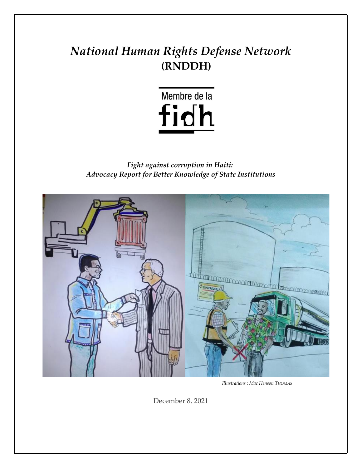# *National Human Rights Defense Network* **(RNDDH)**



*Fight against corruption in Haiti: Advocacy Report for Better Knowledge of State Institutions*



 *Illustrations : Mac Henson THOMAS*

December 8, 2021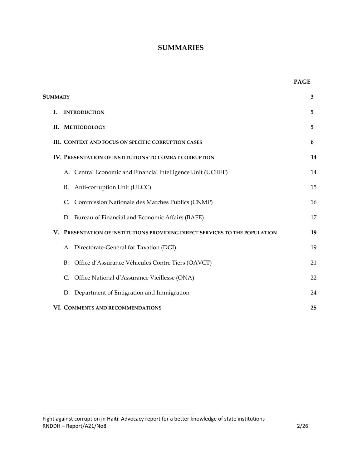#### **SUMMARIES**

| SUMMARY |    | 3                                                                           |    |
|---------|----|-----------------------------------------------------------------------------|----|
|         | L. | <b>INTRODUCTION</b>                                                         | 5  |
|         |    | <b>II. METHODOLOGY</b>                                                      | 5  |
|         |    | III. CONTEXT AND FOCUS ON SPECIFIC CORRUPTION CASES                         | 6  |
|         |    | <b>IV. PRESENTATION OF INSTITUTIONS TO COMBAT CORRUPTION</b>                | 14 |
|         |    | A. Central Economic and Financial Intelligence Unit (UCREF)                 | 14 |
|         |    | Anti-corruption Unit (ULCC)<br>В.                                           | 15 |
|         |    | Commission Nationale des Marchés Publics (CNMP)<br>C.                       | 16 |
|         |    | D. Bureau of Financial and Economic Affairs (BAFE)                          | 17 |
|         |    | V. PRESENTATION OF INSTITUTIONS PROVIDING DIRECT SERVICES TO THE POPULATION | 19 |
|         |    | A. Directorate-General for Taxation (DGI)                                   | 19 |
|         |    | Office d'Assurance Véhicules Contre Tiers (OAVCT)<br>В.                     | 21 |
|         |    | Office National d'Assurance Vieillesse (ONA)<br>C.                          | 22 |
|         |    | Department of Emigration and Immigration<br>D.                              | 24 |
|         |    | VI. COMMENTS AND RECOMMENDATIONS                                            | 25 |

 $\mathcal{L}=\{1,2,3,4,5\}$  , we can assume that  $\mathcal{L}=\{1,2,3,4,5\}$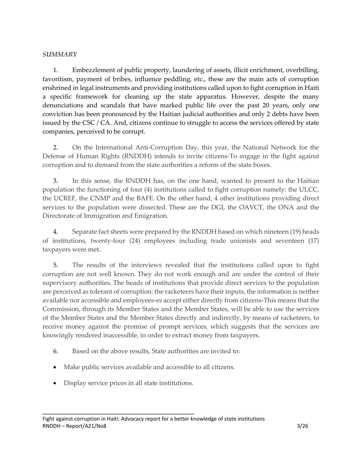#### *SUMMARY*

1. Embezzlement of public property, laundering of assets, illicit enrichment, overbilling, favoritism, payment of bribes, influence peddling, etc., these are the main acts of corruption enshrined in legal instruments and providing institutions called upon to fight corruption in Haiti a specific framework for cleaning up the state apparatus. However, despite the many denunciations and scandals that have marked public life over the past 20 years, only one conviction has been pronounced by the Haitian judicial authorities and only 2 debts have been issued by the CSC / CA. And, citizens continue to struggle to access the services offered by state companies, perceived to be corrupt.

2. On the International Anti-Corruption Day, this year, the National Network for the Defense of Human Rights (RNDDH) intends to invite citizens-To engage in the fight against corruption and to demand from the state authorities a reform of the state boxes.

3. In this sense, the RNDDH has, on the one hand, wanted to present to the Haitian population the functioning of four (4) institutions called to fight corruption namely: the ULCC, the UCREF, the CNMP and the BAFE. On the other hand, 4 other institutions providing direct services to the population were dissected. These are the DGI, the OAVCT, the ONA and the Directorate of Immigration and Emigration.

4. Separate fact sheets were prepared by the RNDDH based on which nineteen (19) heads of institutions, twenty-four (24) employees including trade unionists and seventeen (17) taxpayers were met.

5. The results of the interviews revealed that the institutions called upon to fight corruption are not well known. They do not work enough and are under the control of their supervisory authorities. The heads of institutions that provide direct services to the population are perceived as tolerant of corruption: the racketeers have their inputs, the information is neither available nor accessible and employees-es accept either directly from citizens-This means that the Commission, through its Member States and the Member States, will be able to use the services of the Member States and the Member States directly and indirectly, by means of racketeers, to receive money against the promise of prompt services, which suggests that the services are knowingly rendered inaccessible, in order to extract money from taxpayers.

- 6. Based on the above results, State authorities are invited to:
- Make public services available and accessible to all citizens.
- Display service prices in all state institutions.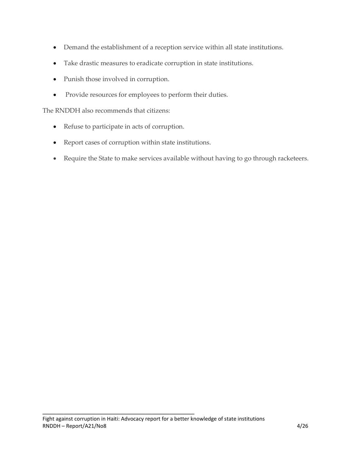- Demand the establishment of a reception service within all state institutions.
- Take drastic measures to eradicate corruption in state institutions.
- Punish those involved in corruption.
- Provide resources for employees to perform their duties.

The RNDDH also recommends that citizens:

- Refuse to participate in acts of corruption.
- Report cases of corruption within state institutions.
- Require the State to make services available without having to go through racketeers.

 $\mathcal{L}=\{1,2,3,4,5\}$  , we can assume that  $\mathcal{L}=\{1,2,3,4,5\}$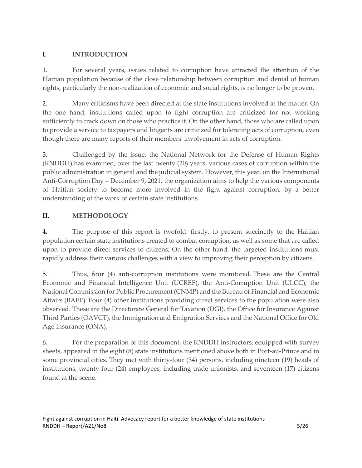## **I. INTRODUCTION**

1. For several years, issues related to corruption have attracted the attention of the Haitian population because of the close relationship between corruption and denial of human rights, particularly the non-realization of economic and social rights, is no longer to be proven.

2. Many criticisms have been directed at the state institutions involved in the matter. On the one hand, institutions called upon to fight corruption are criticized for not working sufficiently to crack down on those who practice it. On the other hand, those who are called upon to provide a service to taxpayers and litigants are criticized for tolerating acts of corruption, even though there are many reports of their members' involvement in acts of corruption.

3. Challenged by the issue, the National Network for the Defense of Human Rights (RNDDH) has examined, over the last twenty (20) years, various cases of corruption within the public administration in general and the judicial system. However, this year, on the International Anti-Corruption Day – December 9, 2021, the organization aims to help the various components of Haitian society to become more involved in the fight against corruption, by a better understanding of the work of certain state institutions.

## **II. METHODOLOGY**

4. The purpose of this report is twofold: firstly, to present succinctly to the Haitian population certain state institutions created to combat corruption, as well as some that are called upon to provide direct services to citizens; On the other hand, the targeted institutions must rapidly address their various challenges with a view to improving their perception by citizens.

5. Thus, four (4) anti-corruption institutions were monitored. These are the Central Economic and Financial Intelligence Unit (UCREF), the Anti-Corruption Unit (ULCC), the National Commission for Public Procurement (CNMP) and the Bureau of Financial and Economic Affairs (BAFE). Four (4) other institutions providing direct services to the population were also observed. These are the Directorate General for Taxation (DGI), the Office for Insurance Against Third Parties (OAVCT), the Immigration and Emigration Services and the National Office for Old Age Insurance (ONA).

6. For the preparation of this document, the RNDDH instructors, equipped with survey sheets, appeared in the eight (8) state institutions mentioned above both in Port-au-Prince and in some provincial cities. They met with thirty-four (34) persons, including nineteen (19) heads of institutions, twenty-four (24) employees, including trade unionists, and seventeen (17) citizens found at the scene.

 $\mathcal{L}=\{1,2,3,4,5\}$  , we can assume that  $\mathcal{L}=\{1,2,3,4,5\}$ Fight against corruption in Haiti: Advocacy report for a better knowledge of state institutions RNDDH – Report/A21/No8 5/26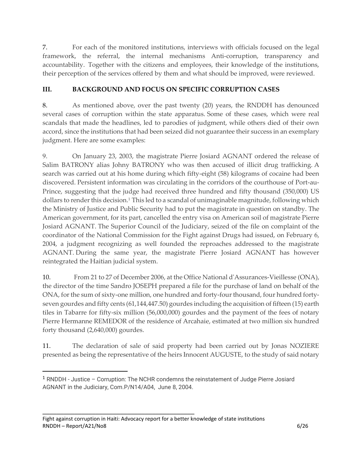7. For each of the monitored institutions, interviews with officials focused on the legal framework, the referral, the internal mechanisms Anti-corruption, transparency and accountability. Together with the citizens and employees, their knowledge of the institutions, their perception of the services offered by them and what should be improved, were reviewed.

## **III. BACKGROUND AND FOCUS ON SPECIFIC CORRUPTION CASES**

8. As mentioned above, over the past twenty (20) years, the RNDDH has denounced several cases of corruption within the state apparatus. Some of these cases, which were real scandals that made the headlines, led to parodies of judgment, while others died of their own accord, since the institutions that had been seized did not guarantee their success in an exemplary judgment. Here are some examples:

9. On January 23, 2003, the magistrate Pierre Josiard AGNANT ordered the release of Salim BATRONY alias Johny BATRONY who was then accused of illicit drug trafficking. A search was carried out at his home during which fifty-eight (58) kilograms of cocaine had been discovered. Persistent information was circulating in the corridors of the courthouse of Port-au-Prince, suggesting that the judge had received three hundred and fifty thousand (350,000) US dollars to render this decision.<sup>1</sup> This led to a scandal of unimaginable magnitude, following which the Ministry of Justice and Public Security had to put the magistrate in question on standby. The American government, for its part, cancelled the entry visa on American soil of magistrate Pierre Josiard AGNANT. The Superior Council of the Judiciary, seized of the file on complaint of the coordinator of the National Commission for the Fight against Drugs had issued, on February 6, 2004, a judgment recognizing as well founded the reproaches addressed to the magistrate AGNANT. During the same year, the magistrate Pierre Josiard AGNANT has however reintegrated the Haitian judicial system.

10. From 21 to 27 of December 2006, at the Office National d'Assurances-Vieillesse (ONA), the director of the time Sandro JOSEPH prepared a file for the purchase of land on behalf of the ONA, for the sum of sixty-one million, one hundred and forty-four thousand, four hundred fortyseven gourdes and fifty cents (61,144,447.50) gourdes including the acquisition of fifteen (15) earth tiles in Tabarre for fifty-six million (56,000,000) gourdes and the payment of the fees of notary Pierre Hermanne REMEDOR of the residence of Arcahaie, estimated at two million six hundred forty thousand (2,640,000) gourdes.

11. The declaration of sale of said property had been carried out by Jonas NOZIERE presented as being the representative of the heirs Innocent AUGUSTE, to the study of said notary

 $\mathcal{L}=\{1,2,3,4,5\}$  , we can assume that  $\mathcal{L}=\{1,2,3,4,5\}$ Fight against corruption in Haiti: Advocacy report for a better knowledge of state institutions RNDDH – Report/A21/No8 6/26

<sup>1</sup> RNDDH - Justice – Corruption: The NCHR condemns the reinstatement of Judge Pierre Josiard AGNANT in the Judiciary, Com.P/N14/A04, June 8, 2004.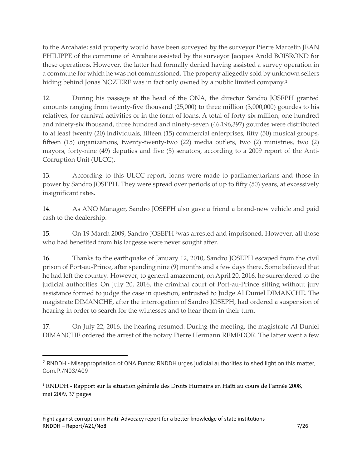to the Arcahaie; said property would have been surveyed by the surveyor Pierre Marcelin JEAN PHILIPPE of the commune of Arcahaie assisted by the surveyor Jacques Arold BOISROND for these operations. However, the latter had formally denied having assisted a survey operation in a commune for which he was not commissioned. The property allegedly sold by unknown sellers hiding behind Jonas NOZIERE was in fact only owned by a public limited company.<sup>2</sup>

12. During his passage at the head of the ONA, the director Sandro JOSEPH granted amounts ranging from twenty-five thousand (25,000) to three million (3,000,000) gourdes to his relatives, for carnival activities or in the form of loans. A total of forty-six million, one hundred and ninety-six thousand, three hundred and ninety-seven (46,196,397) gourdes were distributed to at least twenty (20) individuals, fifteen (15) commercial enterprises, fifty (50) musical groups, fifteen (15) organizations, twenty-twenty-two (22) media outlets, two (2) ministries, two (2) mayors, forty-nine (49) deputies and five (5) senators, according to a 2009 report of the Anti-Corruption Unit (ULCC).

13. According to this ULCC report, loans were made to parliamentarians and those in power by Sandro JOSEPH. They were spread over periods of up to fifty (50) years, at excessively insignificant rates.

14. As ANO Manager, Sandro JOSEPH also gave a friend a brand-new vehicle and paid cash to the dealership.

15. On 19 March 2009, Sandro JOSEPH<sup>3</sup> was arrested and imprisoned. However, all those who had benefited from his largesse were never sought after.

16. Thanks to the earthquake of January 12, 2010, Sandro JOSEPH escaped from the civil prison of Port-au-Prince, after spending nine (9) months and a few days there. Some believed that he had left the country. However, to general amazement, on April 20, 2016, he surrendered to the judicial authorities. On July 20, 2016, the criminal court of Port-au-Prince sitting without jury assistance formed to judge the case in question, entrusted to Judge Al Duniel DIMANCHE. The magistrate DIMANCHE, after the interrogation of Sandro JOSEPH, had ordered a suspension of hearing in order to search for the witnesses and to hear them in their turn.

17. On July 22, 2016, the hearing resumed. During the meeting, the magistrate Al Duniel DIMANCHE ordered the arrest of the notary Pierre Hermann REMEDOR. The latter went a few

<sup>2</sup> RNDDH - Misappropriation of ONA Funds: RNDDH urges judicial authorities to shed light on this matter, Com.P./N03/A09

<sup>3</sup> RNDDH - Rapport sur la situation générale des Droits Humains en Haïti au cours de l'année 2008, mai 2009, 37 pages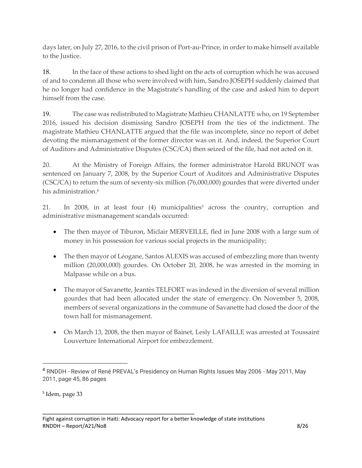days later, on July 27, 2016, to the civil prison of Port-au-Prince, in order to make himself available to the Justice.

18. In the face of these actions to shed light on the acts of corruption which he was accused of and to condemn all those who were involved with him, Sandro JOSEPH suddenly claimed that he no longer had confidence in the Magistrate's handling of the case and asked him to deport himself from the case.

19. The case was redistributed to Magistrate Mathieu CHANLATTE who, on 19 September 2016, issued his decision dismissing Sandro JOSEPH from the ties of the indictment. The magistrate Mathieu CHANLATTE argued that the file was incomplete, since no report of debet devoting the mismanagement of the former director was on it. And, indeed, the Superior Court of Auditors and Administrative Disputes (CSC/CA) then seized of the file, had not acted on it.

20. At the Ministry of Foreign Affairs, the former administrator Harold BRUNOT was sentenced on January 7, 2008, by the Superior Court of Auditors and Administrative Disputes (CSC/CA) to return the sum of seventy-six million (76,000,000) gourdes that were diverted under his administration. 4

21. In 2008, in at least four (4) municipalities<sup>5</sup> across the country, corruption and administrative mismanagement scandals occurred:

- The then mayor of Tiburon, Miclair MERVEILLE, fled in June 2008 with a large sum of money in his possession for various social projects in the municipality;
- The then mayor of Léogane, Santos ALEXIS was accused of embezzling more than twenty million (20,000,000) gourdes. On October 20, 2008, he was arrested in the morning in Malpasse while on a bus.
- The mayor of Savanette, Jeantès TELFORT was indexed in the diversion of several million gourdes that had been allocated under the state of emergency. On November 5, 2008, members of several organizations in the commune of Savanette had closed the door of the town hall for mismanagement.
- On March 13, 2008, the then mayor of Bainet, Lesly LAFAILLE was arrested at Toussaint Louverture International Airport for embezzlement.

<sup>4</sup> RNDDH - Review of René PREVAL's Presidency on Human Rights Issues May 2006 - May 2011, May 2011, page 45, 86 pages

<sup>5</sup> Idem, page 33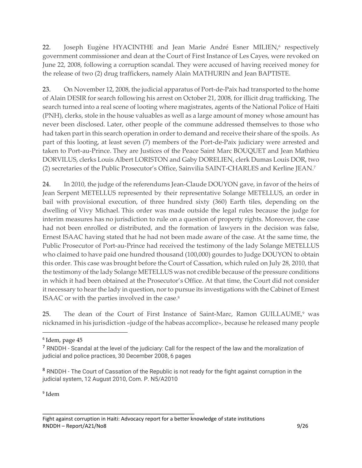22. Joseph Eugène HYACINTHE and Jean Marie André Esner MILIEN,<sup>6</sup> respectively government commissioner and dean at the Court of First Instance of Les Cayes, were revoked on June 22, 2008, following a corruption scandal. They were accused of having received money for the release of two (2) drug traffickers, namely Alain MATHURIN and Jean BAPTISTE.

23. On November 12, 2008, the judicial apparatus of Port-de-Paix had transported to the home of Alain DESIR for search following his arrest on October 21, 2008, for illicit drug trafficking. The search turned into a real scene of looting where magistrates, agents of the National Police of Haiti (PNH), clerks, stole in the house valuables as well as a large amount of money whose amount has never been disclosed. Later, other people of the commune addressed themselves to those who had taken part in this search operation in order to demand and receive their share of the spoils. As part of this looting, at least seven (7) members of the Port-de-Paix judiciary were arrested and taken to Port-au-Prince. They are Justices of the Peace Saint Marc BOUQUET and Jean Mathieu DORVILUS, clerks Louis Albert LORISTON and Gaby DORELIEN, clerk Dumas Louis DOR, two (2) secretaries of the Public Prosecutor's Office, Sainvilia SAINT-CHARLES and Kerline JEAN.<sup>7</sup>

24. In 2010, the judge of the referendums Jean-Claude DOUYON gave, in favor of the heirs of Jean Serpent METELLUS represented by their representative Solange METELLUS, an order in bail with provisional execution, of three hundred sixty (360) Earth tiles, depending on the dwelling of Vivy Michael. This order was made outside the legal rules because the judge for interim measures has no jurisdiction to rule on a question of property rights. Moreover, the case had not been enrolled or distributed, and the formation of lawyers in the decision was false, Ernest ISAAC having stated that he had not been made aware of the case. At the same time, the Public Prosecutor of Port-au-Prince had received the testimony of the lady Solange METELLUS who claimed to have paid one hundred thousand (100,000) gourdes to Judge DOUYON to obtain this order. This case was brought before the Court of Cassation, which ruled on July 28, 2010, that the testimony of the lady Solange METELLUS was not credible because of the pressure conditions in which it had been obtained at the Prosecutor's Office. At that time, the Court did not consider it necessary to hear the lady in question, nor to pursue its investigations with the Cabinet of Ernest ISAAC or with the parties involved in the case.<sup>8</sup>

25. The dean of the Court of First Instance of Saint-Marc, Ramon GUILLAUME,<sup>9</sup> was nicknamed in his jurisdiction «judge of the habeas accomplice», because he released many people

9 Idem

<sup>6</sup> Idem, page 45

<sup>&</sup>lt;sup>7</sup> RNDDH - Scandal at the level of the judiciary: Call for the respect of the law and the moralization of judicial and police practices, 30 December 2008, 6 pages

<sup>&</sup>lt;sup>8</sup> RNDDH - The Court of Cassation of the Republic is not ready for the fight against corruption in the judicial system, 12 August 2010, Com. P. N5/A2010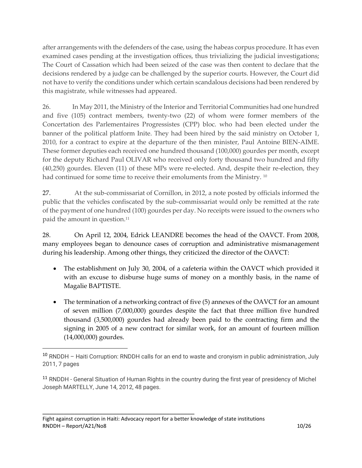after arrangements with the defenders of the case, using the habeas corpus procedure. It has even examined cases pending at the investigation offices, thus trivializing the judicial investigations; The Court of Cassation which had been seized of the case was then content to declare that the decisions rendered by a judge can be challenged by the superior courts. However, the Court did not have to verify the conditions under which certain scandalous decisions had been rendered by this magistrate, while witnesses had appeared.

26. In May 2011, the Ministry of the Interior and Territorial Communities had one hundred and five (105) contract members, twenty-two (22) of whom were former members of the Concertation des Parlementaires Progressistes (CPP) bloc. who had been elected under the banner of the political platform Inite. They had been hired by the said ministry on October 1, 2010, for a contract to expire at the departure of the then minister, Paul Antoine BIEN-AIME. These former deputies each received one hundred thousand (100,000) gourdes per month, except for the deputy Richard Paul OLIVAR who received only forty thousand two hundred and fifty (40,250) gourdes. Eleven (11) of these MPs were re-elected. And, despite their re-election, they had continued for some time to receive their emoluments from the Ministry.<sup>10</sup>

27. At the sub-commissariat of Cornillon, in 2012, a note posted by officials informed the public that the vehicles confiscated by the sub-commissariat would only be remitted at the rate of the payment of one hundred (100) gourdes per day. No receipts were issued to the owners who paid the amount in question.<sup>11</sup>

28. On April 12, 2004, Edrick LEANDRE becomes the head of the OAVCT. From 2008, many employees began to denounce cases of corruption and administrative mismanagement during his leadership. Among other things, they criticized the director of the OAVCT:

- The establishment on July 30, 2004, of a cafeteria within the OAVCT which provided it with an excuse to disburse huge sums of money on a monthly basis, in the name of Magalie BAPTISTE.
- The termination of a networking contract of five (5) annexes of the OAVCT for an amount of seven million (7,000,000) gourdes despite the fact that three million five hundred thousand (3,500,000) gourdes had already been paid to the contracting firm and the signing in 2005 of a new contract for similar work, for an amount of fourteen million (14,000,000) gourdes.

<sup>10</sup> RNDDH – Haiti Corruption: RNDDH calls for an end to waste and cronyism in public administration, July 2011, 7 pages

<sup>&</sup>lt;sup>11</sup> RNDDH - General Situation of Human Rights in the country during the first year of presidency of Michel Joseph MARTELLY, June 14, 2012, 48 pages.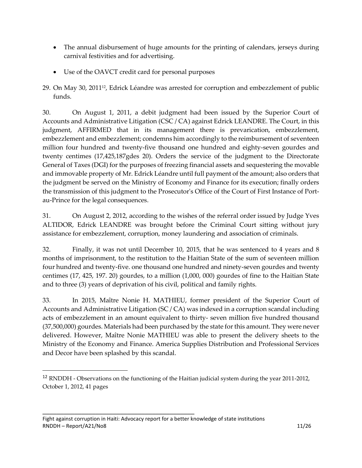- The annual disbursement of huge amounts for the printing of calendars, jerseys during carnival festivities and for advertising.
- Use of the OAVCT credit card for personal purposes
- 29. On May 30, 201112, Edrick Léandre was arrested for corruption and embezzlement of public funds.

30. On August 1, 2011, a debit judgment had been issued by the Superior Court of Accounts and Administrative Litigation (CSC / CA) against Edrick LEANDRE. The Court, in this judgment, AFFIRMED that in its management there is prevarication, embezzlement, embezzlement and embezzlement; condemns him accordingly to the reimbursement of seventeen million four hundred and twenty-five thousand one hundred and eighty-seven gourdes and twenty centimes (17,425,187gdes 20). Orders the service of the judgment to the Directorate General of Taxes (DGI) for the purposes of freezing financial assets and sequestering the movable and immovable property of Mr. Edrick Léandre until full payment of the amount; also orders that the judgment be served on the Ministry of Economy and Finance for its execution; finally orders the transmission of this judgment to the Prosecutor's Office of the Court of First Instance of Portau-Prince for the legal consequences.

31. On August 2, 2012, according to the wishes of the referral order issued by Judge Yves ALTIDOR, Edrick LEANDRE was brought before the Criminal Court sitting without jury assistance for embezzlement, corruption, money laundering and association of criminals.

32. Finally, it was not until December 10, 2015, that he was sentenced to 4 years and 8 months of imprisonment, to the restitution to the Haitian State of the sum of seventeen million four hundred and twenty-five. one thousand one hundred and ninety-seven gourdes and twenty centimes (17, 425, 197. 20) gourdes, to a million (1,000, 000) gourdes of fine to the Haitian State and to three (3) years of deprivation of his civil, political and family rights.

33. In 2015, Maître Nonie H. MATHIEU, former president of the Superior Court of Accounts and Administrative Litigation (SC / CA) was indexed in a corruption scandal including acts of embezzlement in an amount equivalent to thirty- seven million five hundred thousand (37,500,000) gourdes. Materials had been purchased by the state for this amount. They were never delivered. However, Maître Nonie MATHIEU was able to present the delivery sheets to the Ministry of the Economy and Finance. America Supplies Distribution and Professional Services and Decor have been splashed by this scandal.

 $\mathcal{L}=\{1,2,3,4,5\}$  , we can also the set of  $\mathcal{L}=\{1,3,4,5\}$ Fight against corruption in Haiti: Advocacy report for a better knowledge of state institutions RNDDH – Report/A21/No8 11/26

<sup>&</sup>lt;sup>12</sup> RNDDH - Observations on the functioning of the Haitian judicial system during the year 2011-2012, October 1, 2012, 41 pages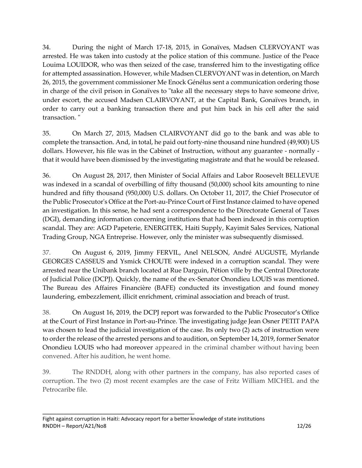34. During the night of March 17-18, 2015, in Gonaïves, Madsen CLERVOYANT was arrested. He was taken into custody at the police station of this commune. Justice of the Peace Louima LOUIDOR, who was then seized of the case, transferred him to the investigating office for attempted assassination. However, while Madsen CLERVOYANT was in detention, on March 26, 2015, the government commissioner Me Enock Génélus sent a communication ordering those in charge of the civil prison in Gonaïves to "take all the necessary steps to have someone drive, under escort, the accused Madsen CLAIRVOYANT, at the Capital Bank, Gonaïves branch, in order to carry out a banking transaction there and put him back in his cell after the said transaction. "

35. On March 27, 2015, Madsen CLAIRVOYANT did go to the bank and was able to complete the transaction. And, in total, he paid out forty-nine thousand nine hundred (49,900) US dollars. However, his file was in the Cabinet of Instruction, without any guarantee - normally that it would have been dismissed by the investigating magistrate and that he would be released.

36. On August 28, 2017, then Minister of Social Affairs and Labor Roosevelt BELLEVUE was indexed in a scandal of overbilling of fifty thousand (50,000) school kits amounting to nine hundred and fifty thousand (950,000) U.S. dollars. On October 11, 2017, the Chief Prosecutor of the Public Prosecutor's Office at the Port-au-Prince Court of First Instance claimed to have opened an investigation. In this sense, he had sent a correspondence to the Directorate General of Taxes (DGI), demanding information concerning institutions that had been indexed in this corruption scandal. They are: AGD Papeterie, ENERGITEK, Haiti Supply, Kayimit Sales Services, National Trading Group, NGA Entreprise. However, only the minister was subsequently dismissed.

37. On August 6, 2019, Jimmy FERVIL, Anel NELSON, André AUGUSTE, Myrlande GEORGES CASSEUS and Ysmick CHOUTE were indexed in a corruption scandal. They were arrested near the Unibank branch located at Rue Darguin, Pétion ville by the Central Directorate of Judicial Police (DCPJ). Quickly, the name of the ex-Senator Onondieu LOUIS was mentioned. The Bureau des Affaires Financière (BAFE) conducted its investigation and found money laundering, embezzlement, illicit enrichment, criminal association and breach of trust.

38. On August 16, 2019, the DCPJ report was forwarded to the Public Prosecutor's Office at the Court of First Instance in Port-au-Prince. The investigating judge Jean Osner PETIT PAPA was chosen to lead the judicial investigation of the case. Its only two (2) acts of instruction were to order the release of the arrested persons and to audition, on September 14, 2019, former Senator Onondieu LOUIS who had moreover appeared in the criminal chamber without having been convened. After his audition, he went home.

39. The RNDDH, along with other partners in the company, has also reported cases of corruption. The two (2) most recent examples are the case of Fritz William MICHEL and the Petrocaribe file.

 $\mathcal{L}=\{1,2,3,4,5\}$  , we can also the set of  $\mathcal{L}=\{1,3,4,5\}$ Fight against corruption in Haiti: Advocacy report for a better knowledge of state institutions RNDDH – Report/A21/No8 12/26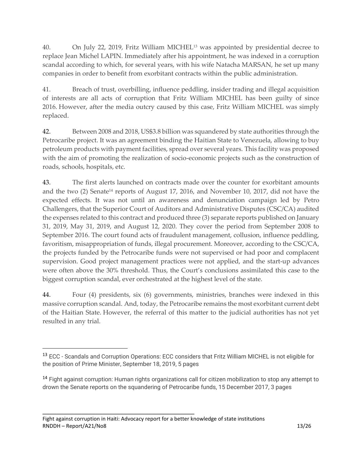40. On July 22, 2019, Fritz William MICHEL<sup>13</sup> was appointed by presidential decree to replace Jean Michel LAPIN. Immediately after his appointment, he was indexed in a corruption scandal according to which, for several years, with his wife Natacha MARSAN, he set up many companies in order to benefit from exorbitant contracts within the public administration.

41. Breach of trust, overbilling, influence peddling, insider trading and illegal acquisition of interests are all acts of corruption that Fritz William MICHEL has been guilty of since 2016. However, after the media outcry caused by this case, Fritz William MICHEL was simply replaced.

42. Between 2008 and 2018, US\$3.8 billion was squandered by state authorities through the Petrocaribe project. It was an agreement binding the Haitian State to Venezuela, allowing to buy petroleum products with payment facilities, spread over several years. This facility was proposed with the aim of promoting the realization of socio-economic projects such as the construction of roads, schools, hospitals, etc.

43. The first alerts launched on contracts made over the counter for exorbitant amounts and the two (2) Senate<sup>14</sup> reports of August 17, 2016, and November 10, 2017, did not have the expected effects. It was not until an awareness and denunciation campaign led by Petro Challengers, that the Superior Court of Auditors and Administrative Disputes (CSC/CA) audited the expenses related to this contract and produced three (3) separate reports published on January 31, 2019, May 31, 2019, and August 12, 2020. They cover the period from September 2008 to September 2016. The court found acts of fraudulent management, collusion, influence peddling, favoritism, misappropriation of funds, illegal procurement. Moreover, according to the CSC/CA, the projects funded by the Petrocaribe funds were not supervised or had poor and complacent supervision. Good project management practices were not applied, and the start-up advances were often above the 30% threshold. Thus, the Court's conclusions assimilated this case to the biggest corruption scandal, ever orchestrated at the highest level of the state.

44. Four (4) presidents, six (6) governments, ministries, branches were indexed in this massive corruption scandal. And, today, the Petrocaribe remains the most exorbitant current debt of the Haitian State. However, the referral of this matter to the judicial authorities has not yet resulted in any trial.

<sup>&</sup>lt;sup>13</sup> ECC - Scandals and Corruption Operations: ECC considers that Fritz William MICHEL is not eligible for the position of Prime Minister, September 18, 2019, 5 pages

<sup>&</sup>lt;sup>14</sup> Fight against corruption: Human rights organizations call for citizen mobilization to stop any attempt to drown the Senate reports on the squandering of Petrocaribe funds, 15 December 2017, 3 pages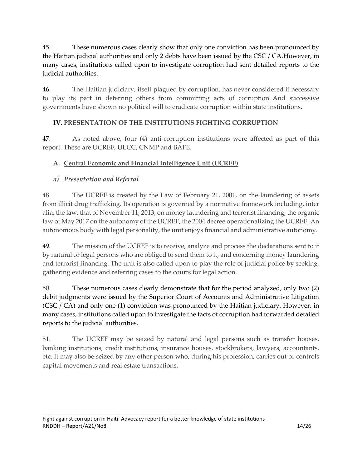45. These numerous cases clearly show that only one conviction has been pronounced by the Haitian judicial authorities and only 2 debts have been issued by the CSC / CA.However, in many cases, institutions called upon to investigate corruption had sent detailed reports to the judicial authorities.

46. The Haitian judiciary, itself plagued by corruption, has never considered it necessary to play its part in deterring others from committing acts of corruption. And successive governments have shown no political will to eradicate corruption within state institutions.

## **IV. PRESENTATION OF THE INSTITUTIONS FIGHTING CORRUPTION**

47. As noted above, four (4) anti-corruption institutions were affected as part of this report. These are UCREF, ULCC, CNMP and BAFE.

## **A. Central Economic and Financial Intelligence Unit (UCREF)**

## *a) Presentation and Referral*

48. The UCREF is created by the Law of February 21, 2001, on the laundering of assets from illicit drug trafficking. Its operation is governed by a normative framework including, inter alia, the law, that of November 11, 2013, on money laundering and terrorist financing, the organic law of May 2017 on the autonomy of the UCREF, the 2004 decree operationalizing the UCREF. An autonomous body with legal personality, the unit enjoys financial and administrative autonomy.

49. The mission of the UCREF is to receive, analyze and process the declarations sent to it by natural or legal persons who are obliged to send them to it, and concerning money laundering and terrorist financing. The unit is also called upon to play the role of judicial police by seeking, gathering evidence and referring cases to the courts for legal action.

50. These numerous cases clearly demonstrate that for the period analyzed, only two (2) debit judgments were issued by the Superior Court of Accounts and Administrative Litigation (CSC / CA) and only one (1) conviction was pronounced by the Haitian judiciary. However, in many cases, institutions called upon to investigate the facts of corruption had forwarded detailed reports to the judicial authorities.

51. The UCREF may be seized by natural and legal persons such as transfer houses, banking institutions, credit institutions, insurance houses, stockbrokers, lawyers, accountants, etc. It may also be seized by any other person who, during his profession, carries out or controls capital movements and real estate transactions.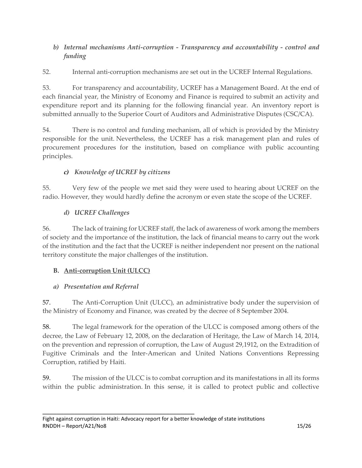## *b) Internal mechanisms Anti-corruption - Transparency and accountability - control and funding*

52. Internal anti-corruption mechanisms are set out in the UCREF Internal Regulations.

53. For transparency and accountability, UCREF has a Management Board. At the end of each financial year, the Ministry of Economy and Finance is required to submit an activity and expenditure report and its planning for the following financial year. An inventory report is submitted annually to the Superior Court of Auditors and Administrative Disputes (CSC/CA).

54. There is no control and funding mechanism, all of which is provided by the Ministry responsible for the unit. Nevertheless, the UCREF has a risk management plan and rules of procurement procedures for the institution, based on compliance with public accounting principles.

# *c) Knowledge of UCREF by citizens*

55. Very few of the people we met said they were used to hearing about UCREF on the radio. However, they would hardly define the acronym or even state the scope of the UCREF.

# *d) UCREF Challenges*

56. The lack of training for UCREF staff, the lack of awareness of work among the members of society and the importance of the institution, the lack of financial means to carry out the work of the institution and the fact that the UCREF is neither independent nor present on the national territory constitute the major challenges of the institution.

# **B. Anti-corruption Unit (ULCC)**

# *a) Presentation and Referral*

57. The Anti-Corruption Unit (ULCC), an administrative body under the supervision of the Ministry of Economy and Finance, was created by the decree of 8 September 2004.

58. The legal framework for the operation of the ULCC is composed among others of the decree, the Law of February 12, 2008, on the declaration of Heritage, the Law of March 14, 2014, on the prevention and repression of corruption, the Law of August 29,1912, on the Extradition of Fugitive Criminals and the Inter-American and United Nations Conventions Repressing Corruption, ratified by Haiti.

59. The mission of the ULCC is to combat corruption and its manifestations in all its forms within the public administration. In this sense, it is called to protect public and collective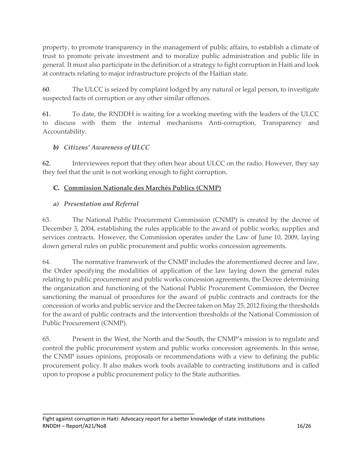property, to promote transparency in the management of public affairs, to establish a climate of trust to promote private investment and to moralize public administration and public life in general. It must also participate in the definition of a strategy to fight corruption in Haiti and look at contracts relating to major infrastructure projects of the Haitian state.

60. The ULCC is seized by complaint lodged by any natural or legal person, to investigate suspected facts of corruption or any other similar offences.

61. To date, the RNDDH is waiting for a working meeting with the leaders of the ULCC to discuss with them the internal mechanisms Anti-corruption, Transparency and Accountability.

#### *b) Citizens' Awareness of ULCC*

62. Interviewees report that they often hear about ULCC on the radio. However, they say they feel that the unit is not working enough to fight corruption.

#### **C. Commission Nationale des Marchés Publics (CNMP)**

#### *a) Presentation and Referral*

63. The National Public Procurement Commission (CNMP) is created by the decree of December 3, 2004, establishing the rules applicable to the award of public works, supplies and services contracts. However, the Commission operates under the Law of June 10, 2009, laying down general rules on public procurement and public works concession agreements.

64. The normative framework of the CNMP includes the aforementioned decree and law, the Order specifying the modalities of application of the law laying down the general rules relating to public procurement and public works concession agreements, the Decree determining the organization and functioning of the National Public Procurement Commission, the Decree sanctioning the manual of procedures for the award of public contracts and contracts for the concession of works and public service and the Decree taken on May 25, 2012 fixing the thresholds for the award of public contracts and the intervention thresholds of the National Commission of Public Procurement (CNMP).

65. Present in the West, the North and the South, the CNMP's mission is to regulate and control the public procurement system and public works concession agreements. In this sense, the CNMP issues opinions, proposals or recommendations with a view to defining the public procurement policy. It also makes work tools available to contracting institutions and is called upon to propose a public procurement policy to the State authorities.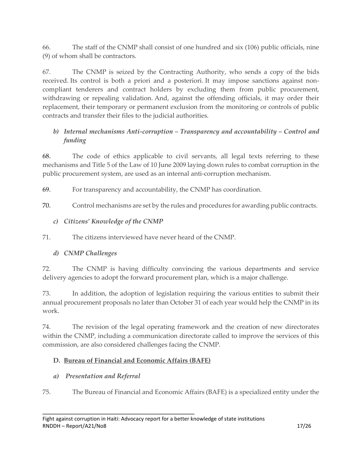66. The staff of the CNMP shall consist of one hundred and six (106) public officials, nine (9) of whom shall be contractors.

67. The CNMP is seized by the Contracting Authority, who sends a copy of the bids received. Its control is both a priori and a posteriori. It may impose sanctions against noncompliant tenderers and contract holders by excluding them from public procurement, withdrawing or repealing validation. And, against the offending officials, it may order their replacement, their temporary or permanent exclusion from the monitoring or controls of public contracts and transfer their files to the judicial authorities.

## *b) Internal mechanisms Anti-corruption – Transparency and accountability – Control and funding*

68. The code of ethics applicable to civil servants, all legal texts referring to these mechanisms and Title 5 of the Law of 10 June 2009 laying down rules to combat corruption in the public procurement system, are used as an internal anti-corruption mechanism.

69. For transparency and accountability, the CNMP has coordination.

70. Control mechanisms are set by the rules and procedures for awarding public contracts.

# *c) Citizens' Knowledge of the CNMP*

71. The citizens interviewed have never heard of the CNMP.

# *d) CNMP Challenges*

72. The CNMP is having difficulty convincing the various departments and service delivery agencies to adopt the forward procurement plan, which is a major challenge.

73. In addition, the adoption of legislation requiring the various entities to submit their annual procurement proposals no later than October 31 of each year would help the CNMP in its work.

74. The revision of the legal operating framework and the creation of new directorates within the CNMP, including a communication directorate called to improve the services of this commission, are also considered challenges facing the CNMP.

# **D. Bureau of Financial and Economic Affairs (BAFE)**

# *a) Presentation and Referral*

75. The Bureau of Financial and Economic Affairs (BAFE) is a specialized entity under the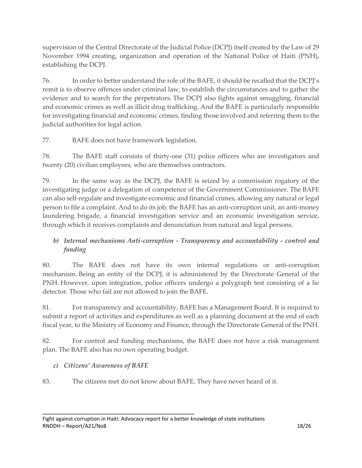supervision of the Central Directorate of the Judicial Police (DCPJ) itself created by the Law of 29 November 1994 creating, organization and operation of the National Police of Haiti (PNH), establishing the DCPJ.

76. In order to better understand the role of the BAFE, it should be recalled that the DCPJ's remit is to observe offences under criminal law, to establish the circumstances and to gather the evidence and to search for the perpetrators. The DCPJ also fights against smuggling, financial and economic crimes as well as illicit drug trafficking. And the BAFE is particularly responsible for investigating financial and economic crimes, finding those involved and referring them to the judicial authorities for legal action.

77. BAFE does not have framework legislation.

78. The BAFE staff consists of thirty-one (31) police officers who are investigators and twenty (20) civilian employees, who are themselves contractors.

79. In the same way as the DCPJ, the BAFE is seized by a commission rogatory of the investigating judge or a delegation of competence of the Government Commissioner. The BAFE can also self-regulate and investigate economic and financial crimes, allowing any natural or legal person to file a complaint. And to do its job, the BAFE has an anti-corruption unit, an anti-money laundering brigade, a financial investigation service and an economic investigation service, through which it receives complaints and denunciation from natural and legal persons.

# *b) Internal mechanisms Anti-corruption - Transparency and accountability - control and funding*

80. The BAFE does not have its own internal regulations or anti-corruption mechanism. Being an entity of the DCPJ, it is administered by the Directorate General of the PNH. However, upon integration, police officers undergo a polygraph test consisting of a lie detector. Those who fail are not allowed to join the BAFE.

81. For transparency and accountability, BAFE has a Management Board. It is required to submit a report of activities and expenditures as well as a planning document at the end of each fiscal year, to the Ministry of Economy and Finance, through the Directorate General of the PNH.

82. For control and funding mechanisms, the BAFE does not have a risk management plan. The BAFE also has no own operating budget.

## *c) Citizens' Awareness of BAFE*

83. The citizens met do not know about BAFE. They have never heard of it.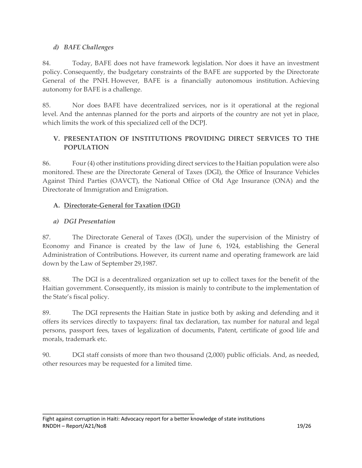#### *d) BAFE Challenges*

84. Today, BAFE does not have framework legislation. Nor does it have an investment policy. Consequently, the budgetary constraints of the BAFE are supported by the Directorate General of the PNH. However, BAFE is a financially autonomous institution. Achieving autonomy for BAFE is a challenge.

85. Nor does BAFE have decentralized services, nor is it operational at the regional level. And the antennas planned for the ports and airports of the country are not yet in place, which limits the work of this specialized cell of the DCPJ.

## **V. PRESENTATION OF INSTITUTIONS PROVIDING DIRECT SERVICES TO THE POPULATION**

86. Four (4) other institutions providing direct services to the Haitian population were also monitored. These are the Directorate General of Taxes (DGI), the Office of Insurance Vehicles Against Third Parties (OAVCT), the National Office of Old Age Insurance (ONA) and the Directorate of Immigration and Emigration.

## **A. Directorate-General for Taxation (DGI)**

## *a) DGI Presentation*

87. The Directorate General of Taxes (DGI), under the supervision of the Ministry of Economy and Finance is created by the law of June 6, 1924, establishing the General Administration of Contributions. However, its current name and operating framework are laid down by the Law of September 29,1987.

88. The DGI is a decentralized organization set up to collect taxes for the benefit of the Haitian government. Consequently, its mission is mainly to contribute to the implementation of the State's fiscal policy.

89. The DGI represents the Haitian State in justice both by asking and defending and it offers its services directly to taxpayers: final tax declaration, tax number for natural and legal persons, passport fees, taxes of legalization of documents, Patent, certificate of good life and morals, trademark etc.

90. DGI staff consists of more than two thousand (2,000) public officials. And, as needed, other resources may be requested for a limited time.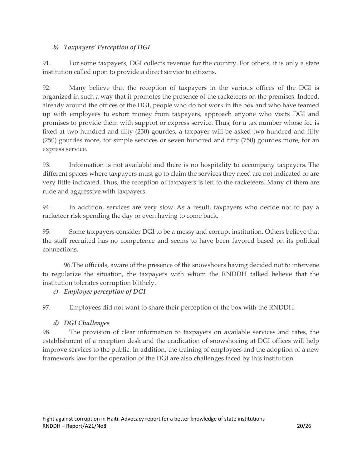## *b) Taxpayers' Perception of DGI*

91. For some taxpayers, DGI collects revenue for the country. For others, it is only a state institution called upon to provide a direct service to citizens.

92. Many believe that the reception of taxpayers in the various offices of the DGI is organized in such a way that it promotes the presence of the racketeers on the premises. Indeed, already around the offices of the DGI, people who do not work in the box and who have teamed up with employees to extort money from taxpayers, approach anyone who visits DGI and promises to provide them with support or express service. Thus, for a tax number whose fee is fixed at two hundred and fifty (250) gourdes, a taxpayer will be asked two hundred and fifty (250) gourdes more, for simple services or seven hundred and fifty (750) gourdes more, for an express service.

93. Information is not available and there is no hospitality to accompany taxpayers. The different spaces where taxpayers must go to claim the services they need are not indicated or are very little indicated. Thus, the reception of taxpayers is left to the racketeers. Many of them are rude and aggressive with taxpayers.

94. In addition, services are very slow. As a result, taxpayers who decide not to pay a racketeer risk spending the day or even having to come back.

95. Some taxpayers consider DGI to be a messy and corrupt institution. Others believe that the staff recruited has no competence and seems to have been favored based on its political connections.

96.The officials, aware of the presence of the snowshoers having decided not to intervene to regularize the situation, the taxpayers with whom the RNDDH talked believe that the institution tolerates corruption blithely.

#### *c) Employee perception of DGI*

97. Employees did not want to share their perception of the box with the RNDDH.

#### *d) DGI Challenges*

98. The provision of clear information to taxpayers on available services and rates, the establishment of a reception desk and the eradication of snowshoeing at DGI offices will help improve services to the public. In addition, the training of employees and the adoption of a new framework law for the operation of the DGI are also challenges faced by this institution.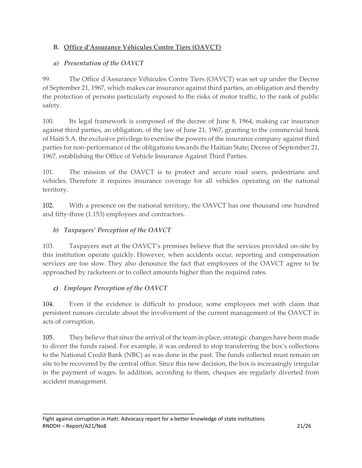## **B. Office d'Assurance Véhicules Contre Tiers (OAVCT)**

#### *a) Presentation of the OAVCT*

99. The Office d'Assurance Véhicules Contre Tiers (OAVCT) was set up under the Decree of September 21, 1967, which makes car insurance against third parties, an obligation and thereby the protection of persons particularly exposed to the risks of motor traffic, to the rank of public safety.

100. Its legal framework is composed of the decree of June 8, 1964, making car insurance against third parties, an obligation, of the law of June 21, 1967, granting to the commercial bank of Haiti S.A. the exclusive privilege to exercise the powers of the insurance company against third parties for non-performance of the obligations towards the Haitian State; Decree of September 21, 1967, establishing the Office of Vehicle Insurance Against Third Parties.

101. The mission of the OAVCT is to protect and secure road users, pedestrians and vehicles. Therefore it requires insurance coverage for all vehicles operating on the national territory.

102. With a presence on the national territory, the OAVCT has one thousand one hundred and fifty-three (1.153) employees and contractors.

#### *b) Taxpayers' Perception of the OAVCT*

103. Taxpayers met at the OAVCT's premises believe that the services provided on-site by this institution operate quickly. However, when accidents occur, reporting and compensation services are too slow. They also denounce the fact that employees of the OAVCT agree to be approached by racketeers or to collect amounts higher than the required rates.

#### *c) Employee Perception of the OAVCT*

 $\mathcal{L}=\{1,2,3,4,5\}$  , we can also the set of  $\mathcal{L}=\{1,3,4,5\}$ 

104. Even if the evidence is difficult to produce, some employees met with claim that persistent rumors circulate about the involvement of the current management of the OAVCT in acts of corruption.

105. They believe that since the arrival of the team in place, strategic changes have been made to divert the funds raised. For example, it was ordered to stop transferring the box's collections to the National Credit Bank (NBC) as was done in the past. The funds collected must remain on site to be recovered by the central office. Since this new decision, the box is increasingly irregular in the payment of wages. In addition, according to them, cheques are regularly diverted from accident management.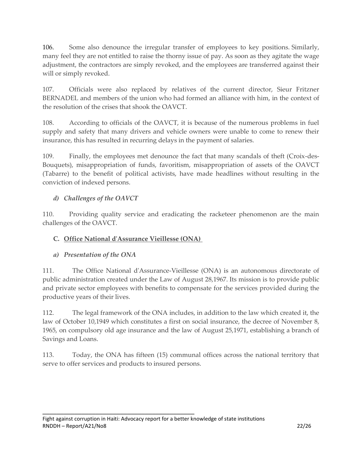106. Some also denounce the irregular transfer of employees to key positions. Similarly, many feel they are not entitled to raise the thorny issue of pay. As soon as they agitate the wage adjustment, the contractors are simply revoked, and the employees are transferred against their will or simply revoked.

107. Officials were also replaced by relatives of the current director, Sieur Fritzner BERNADEL and members of the union who had formed an alliance with him, in the context of the resolution of the crises that shook the OAVCT.

108. According to officials of the OAVCT, it is because of the numerous problems in fuel supply and safety that many drivers and vehicle owners were unable to come to renew their insurance, this has resulted in recurring delays in the payment of salaries.

109. Finally, the employees met denounce the fact that many scandals of theft (Croix-des-Bouquets), misappropriation of funds, favoritism, misappropriation of assets of the OAVCT (Tabarre) to the benefit of political activists, have made headlines without resulting in the conviction of indexed persons.

## *d) Challenges of the OAVCT*

110. Providing quality service and eradicating the racketeer phenomenon are the main challenges of the OAVCT.

#### **C. Office National d'Assurance Vieillesse (ONA)**

#### *a) Presentation of the ONA*

111. The Office National d'Assurance-Vieillesse (ONA) is an autonomous directorate of public administration created under the Law of August 28,1967. Its mission is to provide public and private sector employees with benefits to compensate for the services provided during the productive years of their lives.

112. The legal framework of the ONA includes, in addition to the law which created it, the law of October 10,1949 which constitutes a first on social insurance, the decree of November 8, 1965, on compulsory old age insurance and the law of August 25,1971, establishing a branch of Savings and Loans.

113. Today, the ONA has fifteen (15) communal offices across the national territory that serve to offer services and products to insured persons.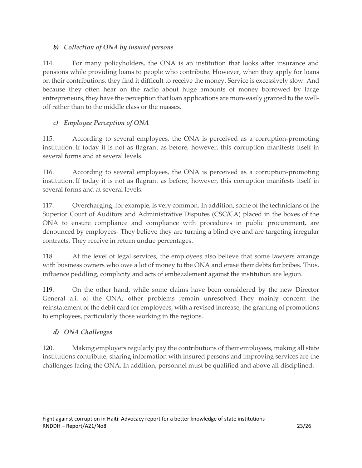## *b) Collection of ONA by insured persons*

114. For many policyholders, the ONA is an institution that looks after insurance and pensions while providing loans to people who contribute. However, when they apply for loans on their contributions, they find it difficult to receive the money. Service is excessively slow. And because they often hear on the radio about huge amounts of money borrowed by large entrepreneurs, they have the perception that loan applications are more easily granted to the welloff rather than to the middle class or the masses.

# *c) Employee Perception of ONA*

115. According to several employees, the ONA is perceived as a corruption-promoting institution. If today it is not as flagrant as before, however, this corruption manifests itself in several forms and at several levels.

116. According to several employees, the ONA is perceived as a corruption-promoting institution. If today it is not as flagrant as before, however, this corruption manifests itself in several forms and at several levels.

117. Overcharging, for example, is very common. In addition, some of the technicians of the Superior Court of Auditors and Administrative Disputes (CSC/CA) placed in the boxes of the ONA to ensure compliance and compliance with procedures in public procurement, are denounced by employees- They believe they are turning a blind eye and are targeting irregular contracts. They receive in return undue percentages.

118. At the level of legal services, the employees also believe that some lawyers arrange with business owners who owe a lot of money to the ONA and erase their debts for bribes. Thus, influence peddling, complicity and acts of embezzlement against the institution are legion.

119. On the other hand, while some claims have been considered by the new Director General a.i. of the ONA, other problems remain unresolved. They mainly concern the reinstatement of the debit card for employees, with a revised increase, the granting of promotions to employees, particularly those working in the regions.

## *d) ONA Challenges*

120. Making employers regularly pay the contributions of their employees, making all state institutions contribute, sharing information with insured persons and improving services are the challenges facing the ONA. In addition, personnel must be qualified and above all disciplined.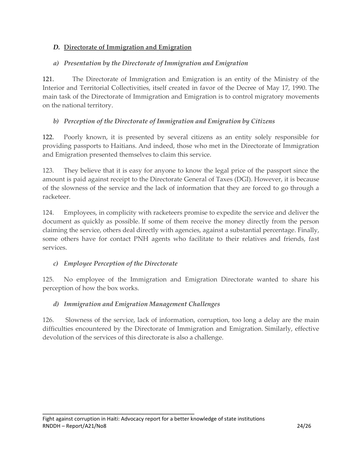## *D.* **Directorate of Immigration and Emigration**

## *a) Presentation by the Directorate of Immigration and Emigration*

121. The Directorate of Immigration and Emigration is an entity of the Ministry of the Interior and Territorial Collectivities, itself created in favor of the Decree of May 17, 1990. The main task of the Directorate of Immigration and Emigration is to control migratory movements on the national territory.

#### *b) Perception of the Directorate of Immigration and Emigration by Citizens*

122. Poorly known, it is presented by several citizens as an entity solely responsible for providing passports to Haitians. And indeed, those who met in the Directorate of Immigration and Emigration presented themselves to claim this service.

123. They believe that it is easy for anyone to know the legal price of the passport since the amount is paid against receipt to the Directorate General of Taxes (DGI). However, it is because of the slowness of the service and the lack of information that they are forced to go through a racketeer.

124. Employees, in complicity with racketeers promise to expedite the service and deliver the document as quickly as possible. If some of them receive the money directly from the person claiming the service, others deal directly with agencies, against a substantial percentage. Finally, some others have for contact PNH agents who facilitate to their relatives and friends, fast services.

#### *c) Employee Perception of the Directorate*

 $\mathcal{L}=\{1,2,3,4,5\}$  , we can also the set of  $\mathcal{L}=\{1,3,4,5\}$ 

125. No employee of the Immigration and Emigration Directorate wanted to share his perception of how the box works.

## *d) Immigration and Emigration Management Challenges*

126. Slowness of the service, lack of information, corruption, too long a delay are the main difficulties encountered by the Directorate of Immigration and Emigration. Similarly, effective devolution of the services of this directorate is also a challenge.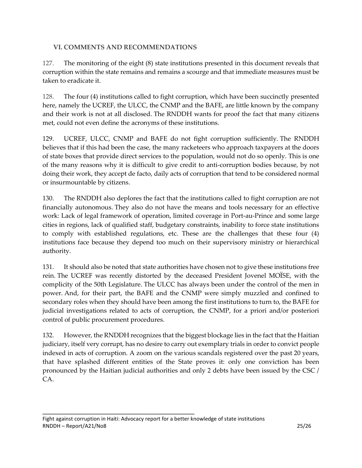#### **VI. COMMENTS AND RECOMMENDATIONS**

127. The monitoring of the eight (8) state institutions presented in this document reveals that corruption within the state remains and remains a scourge and that immediate measures must be taken to eradicate it.

128. The four (4) institutions called to fight corruption, which have been succinctly presented here, namely the UCREF, the ULCC, the CNMP and the BAFE, are little known by the company and their work is not at all disclosed. The RNDDH wants for proof the fact that many citizens met, could not even define the acronyms of these institutions.

129. UCREF, ULCC, CNMP and BAFE do not fight corruption sufficiently. The RNDDH believes that if this had been the case, the many racketeers who approach taxpayers at the doors of state boxes that provide direct services to the population, would not do so openly. This is one of the many reasons why it is difficult to give credit to anti-corruption bodies because, by not doing their work, they accept de facto, daily acts of corruption that tend to be considered normal or insurmountable by citizens.

130. The RNDDH also deplores the fact that the institutions called to fight corruption are not financially autonomous. They also do not have the means and tools necessary for an effective work: Lack of legal framework of operation, limited coverage in Port-au-Prince and some large cities in regions, lack of qualified staff, budgetary constraints, inability to force state institutions to comply with established regulations, etc. These are the challenges that these four (4) institutions face because they depend too much on their supervisory ministry or hierarchical authority.

131. It should also be noted that state authorities have chosen not to give these institutions free rein. The UCREF was recently distorted by the deceased President Jovenel MOÏSE, with the complicity of the 50th Legislature. The ULCC has always been under the control of the men in power. And, for their part, the BAFE and the CNMP were simply muzzled and confined to secondary roles when they should have been among the first institutions to turn to, the BAFE for judicial investigations related to acts of corruption, the CNMP, for a priori and/or posteriori control of public procurement procedures.

132. However, the RNDDH recognizes that the biggest blockage lies in the fact that the Haitian judiciary, itself very corrupt, has no desire to carry out exemplary trials in order to convict people indexed in acts of corruption. A zoom on the various scandals registered over the past 20 years, that have splashed different entities of the State proves it: only one conviction has been pronounced by the Haitian judicial authorities and only 2 debts have been issued by the CSC / CA.